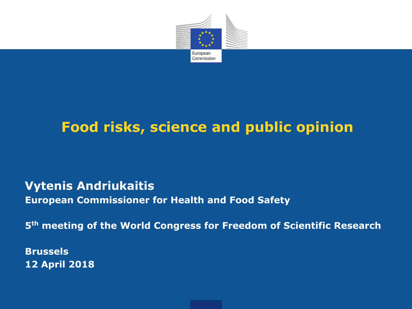

#### **Food risks, science and public opinion**

#### **Vytenis Andriukaitis European Commissioner for Health and Food Safety**

**5 th meeting of the World Congress for Freedom of Scientific Research**

**Brussels 12 April 2018**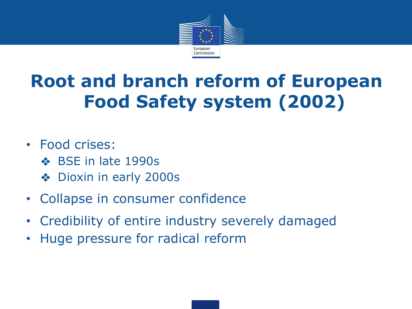

## **Root and branch reform of European Food Safety system (2002)**

#### • Food crises:

- ❖ BSE in late 1990s
- ❖ Dioxin in early 2000s
- Collapse in consumer confidence
- Credibility of entire industry severely damaged
- Huge pressure for radical reform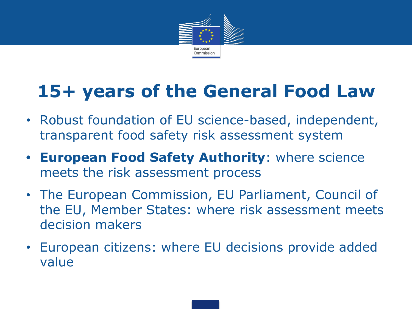

## **15+ years of the General Food Law**

- Robust foundation of EU science-based, independent, transparent food safety risk assessment system
- **• European Food Safety Authority**: where science meets the risk assessment process
- The European Commission, EU Parliament, Council of the EU, Member States: where risk assessment meets decision makers
- European citizens: where EU decisions provide added value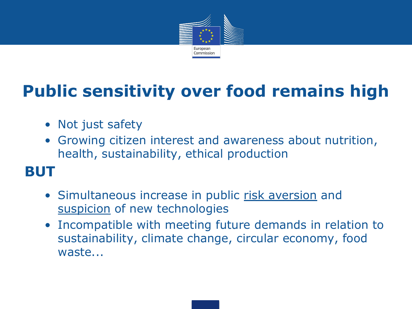

#### **Public sensitivity over food remains high**

- Not just safety
- Growing citizen interest and awareness about nutrition, health, sustainability, ethical production

#### **BUT**

- Simultaneous increase in public risk aversion and suspicion of new technologies
- Incompatible with meeting future demands in relation to sustainability, climate change, circular economy, food waste...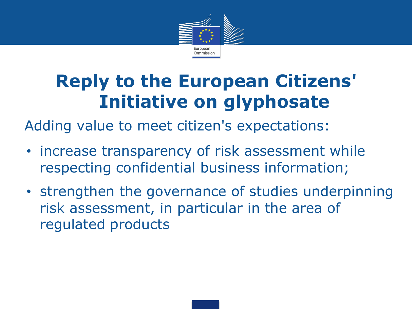

#### **Reply to the European Citizens' Initiative on glyphosate**

Adding value to meet citizen's expectations:

- increase transparency of risk assessment while respecting confidential business information;
- strengthen the governance of studies underpinning risk assessment, in particular in the area of regulated products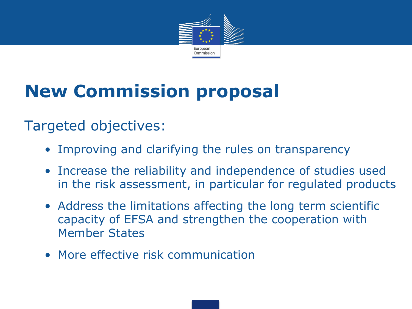

# **New Commission proposal**

#### Targeted objectives:

- Improving and clarifying the rules on transparency
- Increase the reliability and independence of studies used in the risk assessment, in particular for regulated products
- Address the limitations affecting the long term scientific capacity of EFSA and strengthen the cooperation with Member States
- More effective risk communication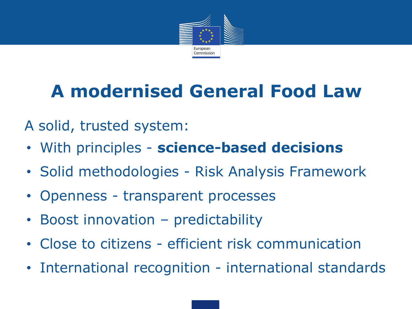

# **A modernised General Food Law**

A solid, trusted system:

- With principles **science-based decisions**
- Solid methodologies Risk Analysis Framework
- Openness transparent processes
- Boost innovation predictability
- Close to citizens efficient risk communication
- International recognition international standards